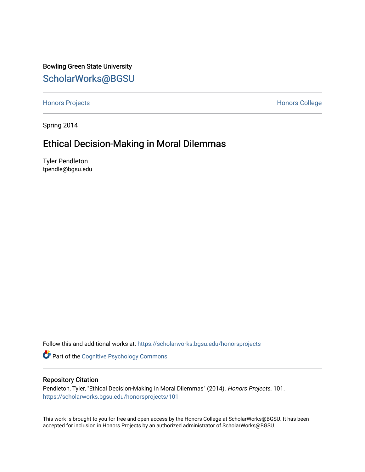Bowling Green State University [ScholarWorks@BGSU](https://scholarworks.bgsu.edu/) 

[Honors Projects](https://scholarworks.bgsu.edu/honorsprojects) **Honors** College

Spring 2014

# Ethical Decision-Making in Moral Dilemmas

Tyler Pendleton tpendle@bgsu.edu

Follow this and additional works at: [https://scholarworks.bgsu.edu/honorsprojects](https://scholarworks.bgsu.edu/honorsprojects?utm_source=scholarworks.bgsu.edu%2Fhonorsprojects%2F101&utm_medium=PDF&utm_campaign=PDFCoverPages) 

Part of the [Cognitive Psychology Commons](http://network.bepress.com/hgg/discipline/408?utm_source=scholarworks.bgsu.edu%2Fhonorsprojects%2F101&utm_medium=PDF&utm_campaign=PDFCoverPages) 

## Repository Citation

Pendleton, Tyler, "Ethical Decision-Making in Moral Dilemmas" (2014). Honors Projects. 101. [https://scholarworks.bgsu.edu/honorsprojects/101](https://scholarworks.bgsu.edu/honorsprojects/101?utm_source=scholarworks.bgsu.edu%2Fhonorsprojects%2F101&utm_medium=PDF&utm_campaign=PDFCoverPages) 

This work is brought to you for free and open access by the Honors College at ScholarWorks@BGSU. It has been accepted for inclusion in Honors Projects by an authorized administrator of ScholarWorks@BGSU.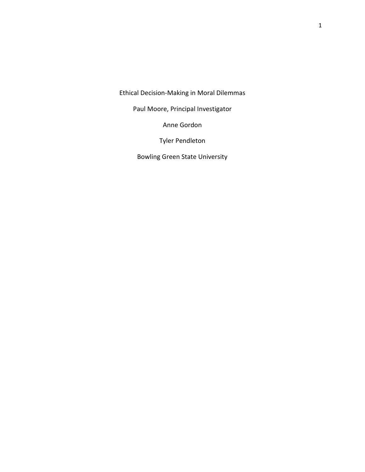Ethical Decision-Making in Moral Dilemmas

Paul Moore, Principal Investigator

Anne Gordon

Tyler Pendleton

Bowling Green State University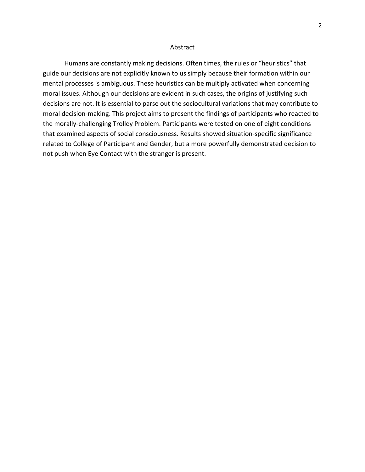#### Abstract

 Humans are constantly making decisions. Often times, the rules or "heuristics" that guide our decisions are not explicitly known to us simply because their formation within our mental processes is ambiguous. These heuristics can be multiply activated when concerning moral issues. Although our decisions are evident in such cases, the origins of justifying such decisions are not. It is essential to parse out the sociocultural variations that may contribute to moral decision-making. This project aims to present the findings of participants who reacted to the morally-challenging Trolley Problem. Participants were tested on one of eight conditions that examined aspects of social consciousness. Results showed situation-specific significance related to College of Participant and Gender, but a more powerfully demonstrated decision to not push when Eye Contact with the stranger is present.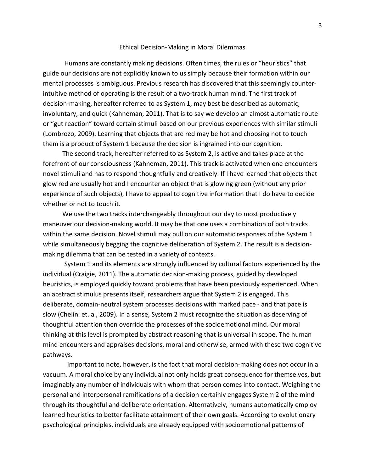#### Ethical Decision-Making in Moral Dilemmas

Humans are constantly making decisions. Often times, the rules or "heuristics" that guide our decisions are not explicitly known to us simply because their formation within our mental processes is ambiguous. Previous research has discovered that this seemingly counterintuitive method of operating is the result of a two-track human mind. The first track of decision-making, hereafter referred to as System 1, may best be described as automatic, involuntary, and quick (Kahneman, 2011). That is to say we develop an almost automatic route or "gut reaction" toward certain stimuli based on our previous experiences with similar stimuli (Lombrozo, 2009). Learning that objects that are red may be hot and choosing not to touch them is a product of System 1 because the decision is ingrained into our cognition.

 The second track, hereafter referred to as System 2, is active and takes place at the forefront of our consciousness (Kahneman, 2011). This track is activated when one encounters novel stimuli and has to respond thoughtfully and creatively. If I have learned that objects that glow red are usually hot and I encounter an object that is glowing green (without any prior experience of such objects), I have to appeal to cognitive information that I do have to decide whether or not to touch it.

 We use the two tracks interchangeably throughout our day to most productively maneuver our decision-making world. It may be that one uses a combination of both tracks within the same decision. Novel stimuli may pull on our automatic responses of the System 1 while simultaneously begging the cognitive deliberation of System 2. The result is a decisionmaking dilemma that can be tested in a variety of contexts.

 System 1 and its elements are strongly influenced by cultural factors experienced by the individual (Craigie, 2011). The automatic decision-making process, guided by developed heuristics, is employed quickly toward problems that have been previously experienced. When an abstract stimulus presents itself, researchers argue that System 2 is engaged. This deliberate, domain-neutral system processes decisions with marked pace - and that pace is slow (Chelini et. al, 2009). In a sense, System 2 must recognize the situation as deserving of thoughtful attention then override the processes of the socioemotional mind. Our moral thinking at this level is prompted by abstract reasoning that is universal in scope. The human mind encounters and appraises decisions, moral and otherwise, armed with these two cognitive pathways.

 Important to note, however, is the fact that moral decision-making does not occur in a vacuum. A moral choice by any individual not only holds great consequence for themselves, but imaginably any number of individuals with whom that person comes into contact. Weighing the personal and interpersonal ramifications of a decision certainly engages System 2 of the mind through its thoughtful and deliberate orientation. Alternatively, humans automatically employ learned heuristics to better facilitate attainment of their own goals. According to evolutionary psychological principles, individuals are already equipped with socioemotional patterns of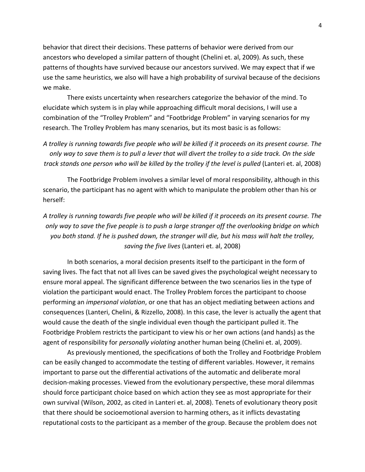behavior that direct their decisions. These patterns of behavior were derived from our ancestors who developed a similar pattern of thought (Chelini et. al, 2009). As such, these patterns of thoughts have survived because our ancestors survived. We may expect that if we use the same heuristics, we also will have a high probability of survival because of the decisions we make.

 There exists uncertainty when researchers categorize the behavior of the mind. To elucidate which system is in play while approaching difficult moral decisions, I will use a combination of the "Trolley Problem" and "Footbridge Problem" in varying scenarios for my research. The Trolley Problem has many scenarios, but its most basic is as follows:

A trolley is running towards five people who will be killed if it proceeds on its present course. The only way to save them is to pull a lever that will divert the trolley to a side track. On the side track stands one person who will be killed by the trolley if the level is pulled (Lanteri et. al, 2008)

 The Footbridge Problem involves a similar level of moral responsibility, although in this scenario, the participant has no agent with which to manipulate the problem other than his or herself:

A trolley is running towards five people who will be killed if it proceeds on its present course. The only way to save the five people is to push a large stranger off the overlooking bridge on which you both stand. If he is pushed down, the stranger will die, but his mass will halt the trolley, saving the five lives (Lanteri et. al, 2008)

 In both scenarios, a moral decision presents itself to the participant in the form of saving lives. The fact that not all lives can be saved gives the psychological weight necessary to ensure moral appeal. The significant difference between the two scenarios lies in the type of violation the participant would enact. The Trolley Problem forces the participant to choose performing an impersonal violation, or one that has an object mediating between actions and consequences (Lanteri, Chelini, & Rizzello, 2008). In this case, the lever is actually the agent that would cause the death of the single individual even though the participant pulled it. The Footbridge Problem restricts the participant to view his or her own actions (and hands) as the agent of responsibility for *personally violating* another human being (Chelini et. al, 2009).

 As previously mentioned, the specifications of both the Trolley and Footbridge Problem can be easily changed to accommodate the testing of different variables. However, it remains important to parse out the differential activations of the automatic and deliberate moral decision-making processes. Viewed from the evolutionary perspective, these moral dilemmas should force participant choice based on which action they see as most appropriate for their own survival (Wilson, 2002, as cited in Lanteri et. al, 2008). Tenets of evolutionary theory posit that there should be socioemotional aversion to harming others, as it inflicts devastating reputational costs to the participant as a member of the group. Because the problem does not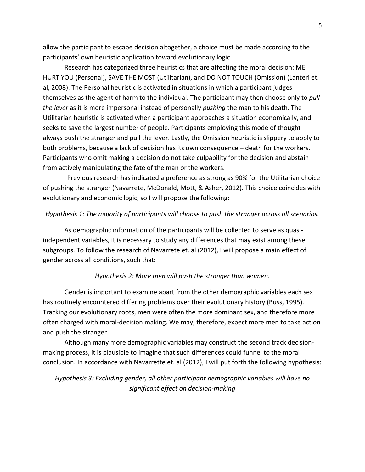allow the participant to escape decision altogether, a choice must be made according to the participants' own heuristic application toward evolutionary logic.

 Research has categorized three heuristics that are affecting the moral decision: ME HURT YOU (Personal), SAVE THE MOST (Utilitarian), and DO NOT TOUCH (Omission) (Lanteri et. al, 2008). The Personal heuristic is activated in situations in which a participant judges themselves as the agent of harm to the individual. The participant may then choose only to pull the lever as it is more impersonal instead of personally pushing the man to his death. The Utilitarian heuristic is activated when a participant approaches a situation economically, and seeks to save the largest number of people. Participants employing this mode of thought always push the stranger and pull the lever. Lastly, the Omission heuristic is slippery to apply to both problems, because a lack of decision has its own consequence – death for the workers. Participants who omit making a decision do not take culpability for the decision and abstain from actively manipulating the fate of the man or the workers.

 Previous research has indicated a preference as strong as 90% for the Utilitarian choice of pushing the stranger (Navarrete, McDonald, Mott, & Asher, 2012). This choice coincides with evolutionary and economic logic, so I will propose the following:

#### Hypothesis 1: The majority of participants will choose to push the stranger across all scenarios.

 As demographic information of the participants will be collected to serve as quasiindependent variables, it is necessary to study any differences that may exist among these subgroups. To follow the research of Navarrete et. al (2012), I will propose a main effect of gender across all conditions, such that:

## Hypothesis 2: More men will push the stranger than women.

 Gender is important to examine apart from the other demographic variables each sex has routinely encountered differing problems over their evolutionary history (Buss, 1995). Tracking our evolutionary roots, men were often the more dominant sex, and therefore more often charged with moral-decision making. We may, therefore, expect more men to take action and push the stranger.

 Although many more demographic variables may construct the second track decisionmaking process, it is plausible to imagine that such differences could funnel to the moral conclusion. In accordance with Navarrette et. al (2012), I will put forth the following hypothesis:

Hypothesis 3: Excluding gender, all other participant demographic variables will have no significant effect on decision-making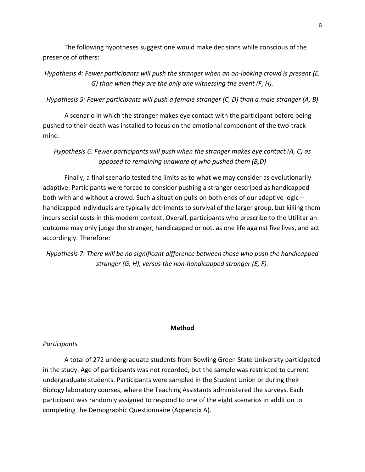The following hypotheses suggest one would make decisions while conscious of the presence of others:

Hypothesis 4: Fewer participants will push the stranger when an on-looking crowd is present (E, G) than when they are the only one witnessing the event (F, H).

Hypothesis 5: Fewer participants will push a female stranger (C, D) than a male stranger (A, B)

 A scenario in which the stranger makes eye contact with the participant before being pushed to their death was installed to focus on the emotional component of the two-track mind:

Hypothesis 6: Fewer participants will push when the stranger makes eye contact (A, C) as opposed to remaining unaware of who pushed them (B,D)

 Finally, a final scenario tested the limits as to what we may consider as evolutionarily adaptive. Participants were forced to consider pushing a stranger described as handicapped both with and without a crowd. Such a situation pulls on both ends of our adaptive logic – handicapped individuals are typically detriments to survival of the larger group, but killing them incurs social costs in this modern context. Overall, participants who prescribe to the Utilitarian outcome may only judge the stranger, handicapped or not, as one life against five lives, and act accordingly. Therefore:

Hypothesis 7: There will be no significant difference between those who push the handicapped stranger (G, H), versus the non-handicapped stranger (E, F).

## Method

## **Participants**

A total of 272 undergraduate students from Bowling Green State University participated in the study. Age of participants was not recorded, but the sample was restricted to current undergraduate students. Participants were sampled in the Student Union or during their Biology laboratory courses, where the Teaching Assistants administered the surveys. Each participant was randomly assigned to respond to one of the eight scenarios in addition to completing the Demographic Questionnaire (Appendix A).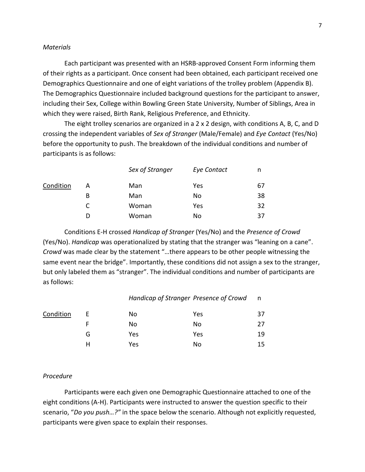#### **Materials**

Each participant was presented with an HSRB-approved Consent Form informing them of their rights as a participant. Once consent had been obtained, each participant received one Demographics Questionnaire and one of eight variations of the trolley problem (Appendix B). The Demographics Questionnaire included background questions for the participant to answer, including their Sex, College within Bowling Green State University, Number of Siblings, Area in which they were raised, Birth Rank, Religious Preference, and Ethnicity.

 The eight trolley scenarios are organized in a 2 x 2 design, with conditions A, B, C, and D crossing the independent variables of Sex of Stranger (Male/Female) and Eye Contact (Yes/No) before the opportunity to push. The breakdown of the individual conditions and number of participants is as follows:

|           |   | Sex of Stranger | <b>Eye Contact</b> | n  |
|-----------|---|-----------------|--------------------|----|
| Condition | А | Man             | Yes                | 67 |
|           | B | Man             | No                 | 38 |
|           | C | Woman           | Yes                | 32 |
|           | D | Woman           | No                 | 37 |

 Conditions E-H crossed Handicap of Stranger (Yes/No) and the Presence of Crowd (Yes/No). Handicap was operationalized by stating that the stranger was "leaning on a cane". Crowd was made clear by the statement "…there appears to be other people witnessing the same event near the bridge". Importantly, these conditions did not assign a sex to the stranger, but only labeled them as "stranger". The individual conditions and number of participants are as follows:

| Handicap of Stranger Presence of Crowd |  |
|----------------------------------------|--|
|----------------------------------------|--|

| Condition | F  | No  | Yes | 37 |
|-----------|----|-----|-----|----|
|           | F. | No  | No  | 27 |
|           | G  | Yes | Yes | 19 |
|           | н  | Yes | No  | 15 |
|           |    |     |     |    |

#### Procedure

Participants were each given one Demographic Questionnaire attached to one of the eight conditions (A-H). Participants were instructed to answer the question specific to their scenario, "Do you push...?" in the space below the scenario. Although not explicitly requested, participants were given space to explain their responses.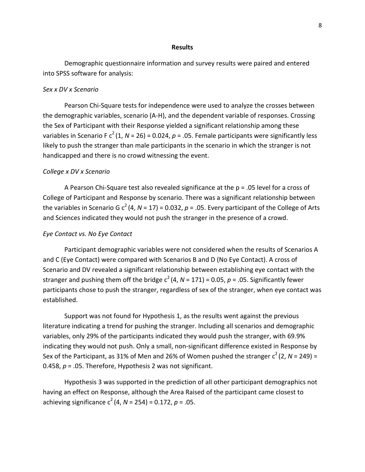#### Results

Demographic questionnaire information and survey results were paired and entered into SPSS software for analysis:

#### Sex x DV x Scenario

Pearson Chi-Square tests for independence were used to analyze the crosses between the demographic variables, scenario (A-H), and the dependent variable of responses. Crossing the Sex of Participant with their Response yielded a significant relationship among these variables in Scenario F  $c^2(1, N = 26) = 0.024$ ,  $p = 0.05$ . Female participants were significantly less likely to push the stranger than male participants in the scenario in which the stranger is not handicapped and there is no crowd witnessing the event.

#### College x DV x Scenario

A Pearson Chi-Square test also revealed significance at the p = .05 level for a cross of College of Participant and Response by scenario. There was a significant relationship between the variables in Scenario G  $c^2$  (4, N = 17) = 0.032, p = .05. Every participant of the College of Arts and Sciences indicated they would not push the stranger in the presence of a crowd.

#### Eye Contact vs. No Eye Contact

 Participant demographic variables were not considered when the results of Scenarios A and C (Eye Contact) were compared with Scenarios B and D (No Eye Contact). A cross of Scenario and DV revealed a significant relationship between establishing eye contact with the stranger and pushing them off the bridge  $c^2(4, N = 171) = 0.05$ ,  $p = .05$ . Significantly fewer participants chose to push the stranger, regardless of sex of the stranger, when eye contact was established.

 Support was not found for Hypothesis 1, as the results went against the previous literature indicating a trend for pushing the stranger. Including all scenarios and demographic variables, only 29% of the participants indicated they would push the stranger, with 69.9% indicating they would not push. Only a small, non-significant difference existed in Response by Sex of the Participant, as 31% of Men and 26% of Women pushed the stranger  $c^2$  (2, N = 249) = 0.458,  $p = 0.05$ . Therefore, Hypothesis 2 was not significant.

 Hypothesis 3 was supported in the prediction of all other participant demographics not having an effect on Response, although the Area Raised of the participant came closest to achieving significance  $c^2(4, N = 254) = 0.172$ ,  $p = .05$ .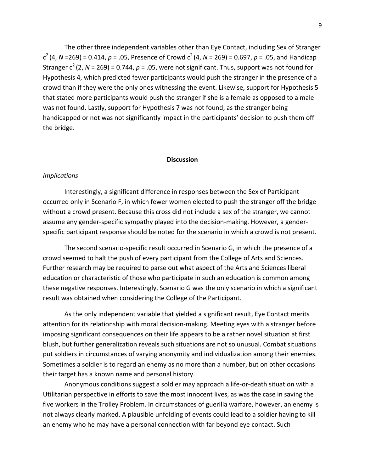The other three independent variables other than Eye Contact, including Sex of Stranger  $c^{2}$  (4, N =269) = 0.414, p = .05, Presence of Crowd  $c^{2}$  (4, N = 269) = 0.697, p = .05, and Handicap Stranger  $c^2$  (2, N = 269) = 0.744, p = .05, were not significant. Thus, support was not found for Hypothesis 4, which predicted fewer participants would push the stranger in the presence of a crowd than if they were the only ones witnessing the event. Likewise, support for Hypothesis 5 that stated more participants would push the stranger if she is a female as opposed to a male was not found. Lastly, support for Hypothesis 7 was not found, as the stranger being handicapped or not was not significantly impact in the participants' decision to push them off the bridge.

#### **Discussion**

#### Implications

Interestingly, a significant difference in responses between the Sex of Participant occurred only in Scenario F, in which fewer women elected to push the stranger off the bridge without a crowd present. Because this cross did not include a sex of the stranger, we cannot assume any gender-specific sympathy played into the decision-making. However, a genderspecific participant response should be noted for the scenario in which a crowd is not present.

 The second scenario-specific result occurred in Scenario G, in which the presence of a crowd seemed to halt the push of every participant from the College of Arts and Sciences. Further research may be required to parse out what aspect of the Arts and Sciences liberal education or characteristic of those who participate in such an education is common among these negative responses. Interestingly, Scenario G was the only scenario in which a significant result was obtained when considering the College of the Participant.

As the only independent variable that yielded a significant result, Eye Contact merits attention for its relationship with moral decision-making. Meeting eyes with a stranger before imposing significant consequences on their life appears to be a rather novel situation at first blush, but further generalization reveals such situations are not so unusual. Combat situations put soldiers in circumstances of varying anonymity and individualization among their enemies. Sometimes a soldier is to regard an enemy as no more than a number, but on other occasions their target has a known name and personal history.

 Anonymous conditions suggest a soldier may approach a life-or-death situation with a Utilitarian perspective in efforts to save the most innocent lives, as was the case in saving the five workers in the Trolley Problem. In circumstances of guerilla warfare, however, an enemy is not always clearly marked. A plausible unfolding of events could lead to a soldier having to kill an enemy who he may have a personal connection with far beyond eye contact. Such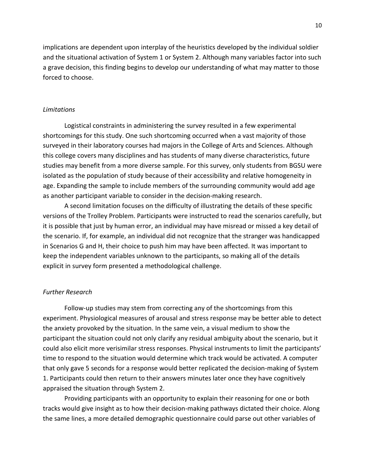implications are dependent upon interplay of the heuristics developed by the individual soldier and the situational activation of System 1 or System 2. Although many variables factor into such a grave decision, this finding begins to develop our understanding of what may matter to those forced to choose.

#### Limitations

Logistical constraints in administering the survey resulted in a few experimental shortcomings for this study. One such shortcoming occurred when a vast majority of those surveyed in their laboratory courses had majors in the College of Arts and Sciences. Although this college covers many disciplines and has students of many diverse characteristics, future studies may benefit from a more diverse sample. For this survey, only students from BGSU were isolated as the population of study because of their accessibility and relative homogeneity in age. Expanding the sample to include members of the surrounding community would add age as another participant variable to consider in the decision-making research.

 A second limitation focuses on the difficulty of illustrating the details of these specific versions of the Trolley Problem. Participants were instructed to read the scenarios carefully, but it is possible that just by human error, an individual may have misread or missed a key detail of the scenario. If, for example, an individual did not recognize that the stranger was handicapped in Scenarios G and H, their choice to push him may have been affected. It was important to keep the independent variables unknown to the participants, so making all of the details explicit in survey form presented a methodological challenge.

## Further Research

Follow-up studies may stem from correcting any of the shortcomings from this experiment. Physiological measures of arousal and stress response may be better able to detect the anxiety provoked by the situation. In the same vein, a visual medium to show the participant the situation could not only clarify any residual ambiguity about the scenario, but it could also elicit more verisimilar stress responses. Physical instruments to limit the participants' time to respond to the situation would determine which track would be activated. A computer that only gave 5 seconds for a response would better replicated the decision-making of System 1. Participants could then return to their answers minutes later once they have cognitively appraised the situation through System 2.

 Providing participants with an opportunity to explain their reasoning for one or both tracks would give insight as to how their decision-making pathways dictated their choice. Along the same lines, a more detailed demographic questionnaire could parse out other variables of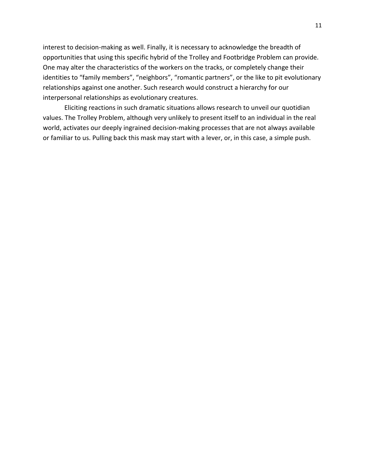interest to decision-making as well. Finally, it is necessary to acknowledge the breadth of opportunities that using this specific hybrid of the Trolley and Footbridge Problem can provide. One may alter the characteristics of the workers on the tracks, or completely change their identities to "family members", "neighbors", "romantic partners", or the like to pit evolutionary relationships against one another. Such research would construct a hierarchy for our interpersonal relationships as evolutionary creatures.

 Eliciting reactions in such dramatic situations allows research to unveil our quotidian values. The Trolley Problem, although very unlikely to present itself to an individual in the real world, activates our deeply ingrained decision-making processes that are not always available or familiar to us. Pulling back this mask may start with a lever, or, in this case, a simple push.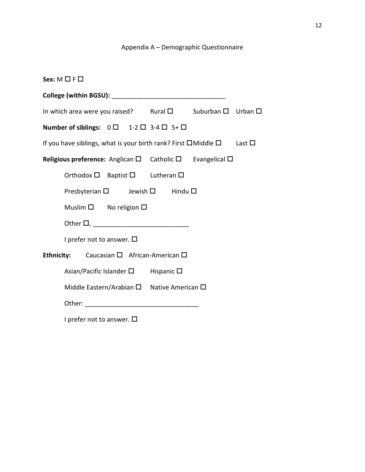## Appendix A – Demographic Questionnaire

| Sex: $M \square F \square$                                                        |                                                              |  |  |  |  |                                                                                   |                |
|-----------------------------------------------------------------------------------|--------------------------------------------------------------|--|--|--|--|-----------------------------------------------------------------------------------|----------------|
|                                                                                   |                                                              |  |  |  |  |                                                                                   |                |
| In which area were you raised? Rural $\square$ Suburban $\square$ Urban $\square$ |                                                              |  |  |  |  |                                                                                   |                |
|                                                                                   | Number of siblings: $0 \Box$ 1-2 $\Box$ 3-4 $\Box$ 5+ $\Box$ |  |  |  |  |                                                                                   |                |
|                                                                                   |                                                              |  |  |  |  | If you have siblings, what is your birth rank? First $\square$ Middle $\square$   | Last $\square$ |
|                                                                                   |                                                              |  |  |  |  | Religious preference: Anglican $\square$ Catholic $\square$ Evangelical $\square$ |                |
|                                                                                   | Orthodox $\square$ Baptist $\square$ Lutheran $\square$      |  |  |  |  |                                                                                   |                |
|                                                                                   | Presbyterian □ Jewish □ Hindu □                              |  |  |  |  |                                                                                   |                |
|                                                                                   | Muslim $\square$ No religion $\square$                       |  |  |  |  |                                                                                   |                |
|                                                                                   |                                                              |  |  |  |  |                                                                                   |                |
| I prefer not to answer. $\square$                                                 |                                                              |  |  |  |  |                                                                                   |                |
|                                                                                   | Ethnicity: Caucasian □ African-American □                    |  |  |  |  |                                                                                   |                |
|                                                                                   | Asian/Pacific Islander $\square$ Hispanic $\square$          |  |  |  |  |                                                                                   |                |
|                                                                                   | Middle Eastern/Arabian $\square$ Native American $\square$   |  |  |  |  |                                                                                   |                |
|                                                                                   |                                                              |  |  |  |  |                                                                                   |                |
|                                                                                   | I prefer not to answer. $\square$                            |  |  |  |  |                                                                                   |                |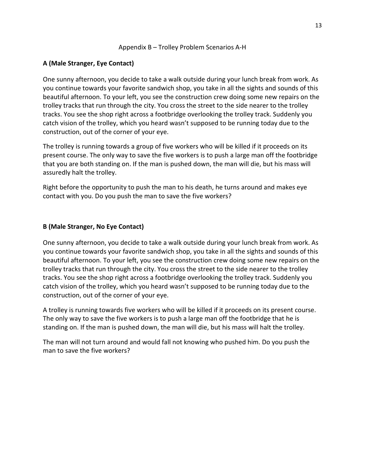## Appendix B – Trolley Problem Scenarios A-H

## A (Male Stranger, Eye Contact)

One sunny afternoon, you decide to take a walk outside during your lunch break from work. As you continue towards your favorite sandwich shop, you take in all the sights and sounds of this beautiful afternoon. To your left, you see the construction crew doing some new repairs on the trolley tracks that run through the city. You cross the street to the side nearer to the trolley tracks. You see the shop right across a footbridge overlooking the trolley track. Suddenly you catch vision of the trolley, which you heard wasn't supposed to be running today due to the construction, out of the corner of your eye.

The trolley is running towards a group of five workers who will be killed if it proceeds on its present course. The only way to save the five workers is to push a large man off the footbridge that you are both standing on. If the man is pushed down, the man will die, but his mass will assuredly halt the trolley.

Right before the opportunity to push the man to his death, he turns around and makes eye contact with you. Do you push the man to save the five workers?

## B (Male Stranger, No Eye Contact)

One sunny afternoon, you decide to take a walk outside during your lunch break from work. As you continue towards your favorite sandwich shop, you take in all the sights and sounds of this beautiful afternoon. To your left, you see the construction crew doing some new repairs on the trolley tracks that run through the city. You cross the street to the side nearer to the trolley tracks. You see the shop right across a footbridge overlooking the trolley track. Suddenly you catch vision of the trolley, which you heard wasn't supposed to be running today due to the construction, out of the corner of your eye.

A trolley is running towards five workers who will be killed if it proceeds on its present course. The only way to save the five workers is to push a large man off the footbridge that he is standing on. If the man is pushed down, the man will die, but his mass will halt the trolley.

The man will not turn around and would fall not knowing who pushed him. Do you push the man to save the five workers?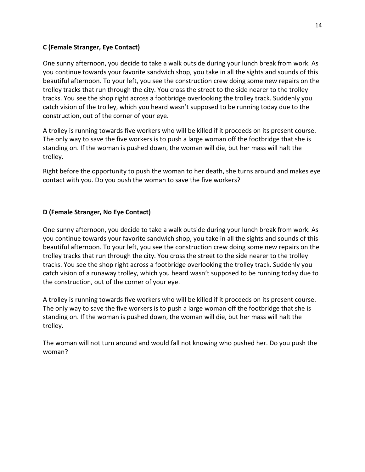## C (Female Stranger, Eye Contact)

One sunny afternoon, you decide to take a walk outside during your lunch break from work. As you continue towards your favorite sandwich shop, you take in all the sights and sounds of this beautiful afternoon. To your left, you see the construction crew doing some new repairs on the trolley tracks that run through the city. You cross the street to the side nearer to the trolley tracks. You see the shop right across a footbridge overlooking the trolley track. Suddenly you catch vision of the trolley, which you heard wasn't supposed to be running today due to the construction, out of the corner of your eye.

A trolley is running towards five workers who will be killed if it proceeds on its present course. The only way to save the five workers is to push a large woman off the footbridge that she is standing on. If the woman is pushed down, the woman will die, but her mass will halt the trolley.

Right before the opportunity to push the woman to her death, she turns around and makes eye contact with you. Do you push the woman to save the five workers?

## D (Female Stranger, No Eye Contact)

One sunny afternoon, you decide to take a walk outside during your lunch break from work. As you continue towards your favorite sandwich shop, you take in all the sights and sounds of this beautiful afternoon. To your left, you see the construction crew doing some new repairs on the trolley tracks that run through the city. You cross the street to the side nearer to the trolley tracks. You see the shop right across a footbridge overlooking the trolley track. Suddenly you catch vision of a runaway trolley, which you heard wasn't supposed to be running today due to the construction, out of the corner of your eye.

A trolley is running towards five workers who will be killed if it proceeds on its present course. The only way to save the five workers is to push a large woman off the footbridge that she is standing on. If the woman is pushed down, the woman will die, but her mass will halt the trolley.

The woman will not turn around and would fall not knowing who pushed her. Do you push the woman?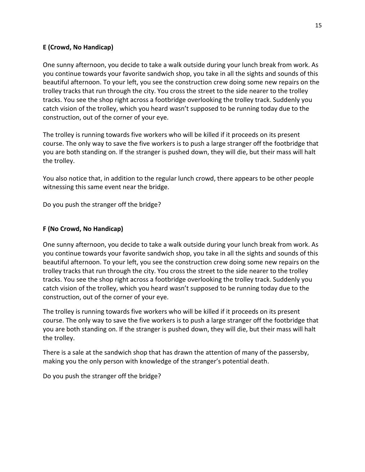## E (Crowd, No Handicap)

One sunny afternoon, you decide to take a walk outside during your lunch break from work. As you continue towards your favorite sandwich shop, you take in all the sights and sounds of this beautiful afternoon. To your left, you see the construction crew doing some new repairs on the trolley tracks that run through the city. You cross the street to the side nearer to the trolley tracks. You see the shop right across a footbridge overlooking the trolley track. Suddenly you catch vision of the trolley, which you heard wasn't supposed to be running today due to the construction, out of the corner of your eye.

The trolley is running towards five workers who will be killed if it proceeds on its present course. The only way to save the five workers is to push a large stranger off the footbridge that you are both standing on. If the stranger is pushed down, they will die, but their mass will halt the trolley.

You also notice that, in addition to the regular lunch crowd, there appears to be other people witnessing this same event near the bridge.

Do you push the stranger off the bridge?

## F (No Crowd, No Handicap)

One sunny afternoon, you decide to take a walk outside during your lunch break from work. As you continue towards your favorite sandwich shop, you take in all the sights and sounds of this beautiful afternoon. To your left, you see the construction crew doing some new repairs on the trolley tracks that run through the city. You cross the street to the side nearer to the trolley tracks. You see the shop right across a footbridge overlooking the trolley track. Suddenly you catch vision of the trolley, which you heard wasn't supposed to be running today due to the construction, out of the corner of your eye.

The trolley is running towards five workers who will be killed if it proceeds on its present course. The only way to save the five workers is to push a large stranger off the footbridge that you are both standing on. If the stranger is pushed down, they will die, but their mass will halt the trolley.

There is a sale at the sandwich shop that has drawn the attention of many of the passersby, making you the only person with knowledge of the stranger's potential death.

Do you push the stranger off the bridge?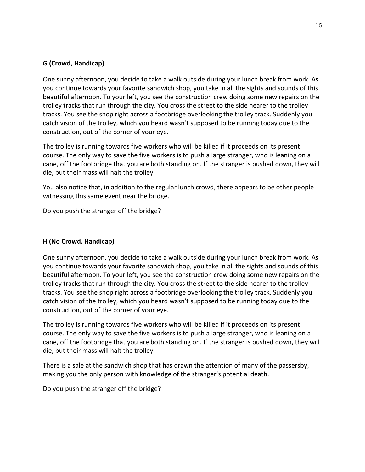## G (Crowd, Handicap)

One sunny afternoon, you decide to take a walk outside during your lunch break from work. As you continue towards your favorite sandwich shop, you take in all the sights and sounds of this beautiful afternoon. To your left, you see the construction crew doing some new repairs on the trolley tracks that run through the city. You cross the street to the side nearer to the trolley tracks. You see the shop right across a footbridge overlooking the trolley track. Suddenly you catch vision of the trolley, which you heard wasn't supposed to be running today due to the construction, out of the corner of your eye.

The trolley is running towards five workers who will be killed if it proceeds on its present course. The only way to save the five workers is to push a large stranger, who is leaning on a cane, off the footbridge that you are both standing on. If the stranger is pushed down, they will die, but their mass will halt the trolley.

You also notice that, in addition to the regular lunch crowd, there appears to be other people witnessing this same event near the bridge.

Do you push the stranger off the bridge?

## H (No Crowd, Handicap)

One sunny afternoon, you decide to take a walk outside during your lunch break from work. As you continue towards your favorite sandwich shop, you take in all the sights and sounds of this beautiful afternoon. To your left, you see the construction crew doing some new repairs on the trolley tracks that run through the city. You cross the street to the side nearer to the trolley tracks. You see the shop right across a footbridge overlooking the trolley track. Suddenly you catch vision of the trolley, which you heard wasn't supposed to be running today due to the construction, out of the corner of your eye.

The trolley is running towards five workers who will be killed if it proceeds on its present course. The only way to save the five workers is to push a large stranger, who is leaning on a cane, off the footbridge that you are both standing on. If the stranger is pushed down, they will die, but their mass will halt the trolley.

There is a sale at the sandwich shop that has drawn the attention of many of the passersby, making you the only person with knowledge of the stranger's potential death.

Do you push the stranger off the bridge?